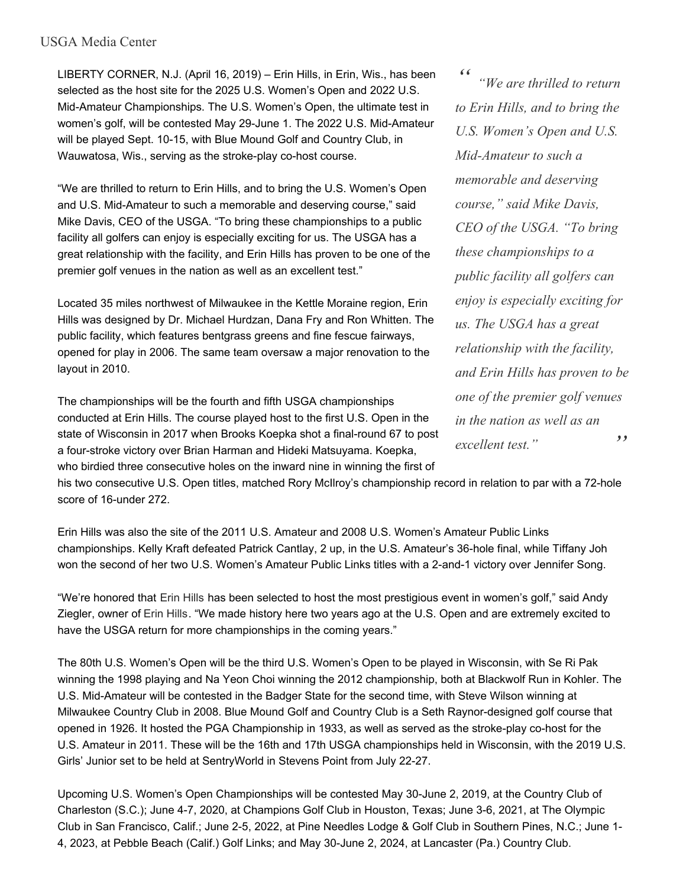## USGA Media Center

LIBERTY CORNER, N.J. (April 16, 2019) – Erin Hills, in Erin, Wis., has been selected as the host site for the 2025 U.S. Women's Open and 2022 U.S. Mid-Amateur Championships. The U.S. Women's Open, the ultimate test in women's golf, will be contested May 29-June 1. The 2022 U.S. Mid-Amateur will be played Sept. 10-15, with Blue Mound Golf and Country Club, in Wauwatosa, Wis., serving as the stroke-play co-host course.

"We are thrilled to return to Erin Hills, and to bring the U.S. Women's Open and U.S. Mid-Amateur to such a memorable and deserving course," said Mike Davis, CEO of the USGA. "To bring these championships to a public facility all golfers can enjoy is especially exciting for us. The USGA has a great relationship with the facility, and Erin Hills has proven to be one of the premier golf venues in the nation as well as an excellent test."

Located 35 miles northwest of Milwaukee in the Kettle Moraine region, Erin Hills was designed by Dr. Michael Hurdzan, Dana Fry and Ron Whitten. The public facility, which features bentgrass greens and fine fescue fairways, opened for play in 2006. The same team oversaw a major renovation to the layout in 2010.

The championships will be the fourth and fifth USGA championships conducted at Erin Hills. The course played host to the first U.S. Open in the state of Wisconsin in 2017 when Brooks Koepka shot a final-round 67 to post a four-stroke victory over Brian Harman and Hideki Matsuyama. Koepka, who birdied three consecutive holes on the inward nine in winning the first of

*" " "We are thrilled to return to Erin Hills, and to bring the U.S. Women's Open and U.S. Mid-Amateur to such a memorable and deserving course," said Mike Davis, CEO of the USGA. "To bring these championships to a public facility all golfers can enjoy is especially exciting for us. The USGA has a great relationship with the facility, and Erin Hills has proven to be one of the premier golf venues in the nation as well as an excellent test."*

his two consecutive U.S. Open titles, matched Rory McIlroy's championship record in relation to par with a 72-hole score of 16-under 272.

Erin Hills was also the site of the 2011 U.S. Amateur and 2008 U.S. Women's Amateur Public Links championships. Kelly Kraft defeated Patrick Cantlay, 2 up, in the U.S. Amateur's 36-hole final, while Tiffany Joh won the second of her two U.S. Women's Amateur Public Links titles with a 2-and-1 victory over Jennifer Song.

"We're honored that Erin Hills has been selected to host the most prestigious event in women's golf," said Andy Ziegler, owner of Erin Hills. "We made history here two years ago at the U.S. Open and are extremely excited to have the USGA return for more championships in the coming years."

The 80th U.S. Women's Open will be the third U.S. Women's Open to be played in Wisconsin, with Se Ri Pak winning the 1998 playing and Na Yeon Choi winning the 2012 championship, both at Blackwolf Run in Kohler. The U.S. Mid-Amateur will be contested in the Badger State for the second time, with Steve Wilson winning at Milwaukee Country Club in 2008. Blue Mound Golf and Country Club is a Seth Raynor-designed golf course that opened in 1926. It hosted the PGA Championship in 1933, as well as served as the stroke-play co-host for the U.S. Amateur in 2011. These will be the 16th and 17th USGA championships held in Wisconsin, with the 2019 U.S. Girls' Junior set to be held at SentryWorld in Stevens Point from July 22-27.

Upcoming U.S. Women's Open Championships will be contested May 30-June 2, 2019, at the Country Club of Charleston (S.C.); June 4-7, 2020, at Champions Golf Club in Houston, Texas; June 3-6, 2021, at The Olympic Club in San Francisco, Calif.; June 2-5, 2022, at Pine Needles Lodge & Golf Club in Southern Pines, N.C.; June 1- 4, 2023, at Pebble Beach (Calif.) Golf Links; and May 30-June 2, 2024, at Lancaster (Pa.) Country Club.